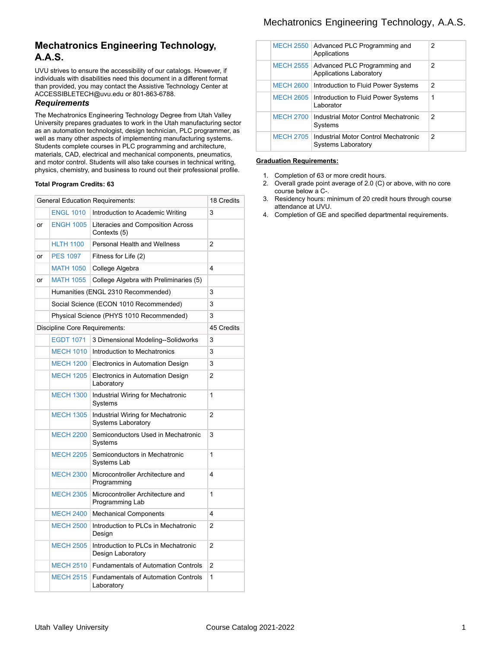## Mechatronics Engineering Technology, A.A.S.

# **Mechatronics Engineering Technology, A.A.S.**

UVU strives to ensure the accessibility of our catalogs. However, if individuals with disabilities need this document in a different format than provided, you may contact the Assistive Technology Center at ACCESSIBLETECH@uvu.edu or 801-863-6788.

### *Requirements*

The Mechatronics Engineering Technology Degree from Utah Valley University prepares graduates to work in the Utah manufacturing sector as an automation technologist, design technician, PLC programmer, as well as many other aspects of implementing manufacturing systems. Students complete courses in PLC programming and architecture, materials, CAD, electrical and mechanical components, pneumatics, and motor control. Students will also take courses in technical writing, physics, chemistry, and business to round out their professional profile.

### **Total Program Credits: 63**

|    |                               | <b>General Education Requirements:</b>                         | 18 Credits              |
|----|-------------------------------|----------------------------------------------------------------|-------------------------|
|    | <b>ENGL 1010</b>              | Introduction to Academic Writing                               | 3                       |
| or | <b>ENGH 1005</b>              | Literacies and Composition Across<br>Contexts (5)              |                         |
|    | <b>HLTH 1100</b>              | <b>Personal Health and Wellness</b>                            | 2                       |
| or | <b>PES 1097</b>               | Fitness for Life (2)                                           |                         |
|    | <b>MATH 1050</b>              | College Algebra                                                | $\overline{\mathbf{4}}$ |
| or | <b>MATH 1055</b>              | College Algebra with Preliminaries (5)                         |                         |
|    |                               | Humanities (ENGL 2310 Recommended)                             | 3                       |
|    |                               | Social Science (ECON 1010 Recommended)                         | 3                       |
|    |                               | Physical Science (PHYS 1010 Recommended)                       | 3                       |
|    | Discipline Core Requirements: |                                                                |                         |
|    | <b>EGDT 1071</b>              | 3 Dimensional Modeling--Solidworks                             | 3                       |
|    | <b>MECH 1010</b>              | Introduction to Mechatronics                                   | 3                       |
|    | <b>MECH 1200</b>              | Electronics in Automation Design                               | 3                       |
|    | <b>MECH 1205</b>              | Electronics in Automation Design<br>Laboratory                 | $\overline{2}$          |
|    | <b>MECH 1300</b>              | Industrial Wiring for Mechatronic<br>Systems                   | 1                       |
|    | <b>MECH 1305</b>              | Industrial Wiring for Mechatronic<br><b>Systems Laboratory</b> | 2                       |
|    | <b>MECH 2200</b>              | Semiconductors Used in Mechatronic<br>Systems                  | 3                       |
|    | <b>MECH 2205</b>              | Semiconductors in Mechatronic<br>Systems Lab                   | $\mathbf{1}$            |
|    | <b>MECH 2300</b>              | Microcontroller Architecture and<br>Programming                | 4                       |
|    | <b>MECH 2305</b>              | Microcontroller Architecture and<br>Programming Lab            | $\mathbf{1}$            |
|    | <b>MECH 2400</b>              | <b>Mechanical Components</b>                                   | $\overline{\mathbf{4}}$ |
|    | <b>MECH 2500</b>              | Introduction to PLCs in Mechatronic<br>Design                  | $\overline{2}$          |
|    | <b>MECH 2505</b>              | Introduction to PLCs in Mechatronic<br>Design Laboratory       | $\overline{2}$          |
|    | <b>MECH 2510</b>              | <b>Fundamentals of Automation Controls</b>                     | 2                       |
|    | <b>MECH 2515</b>              | <b>Fundamentals of Automation Controls</b><br>Laboratory       | 1                       |
|    |                               |                                                                |                         |

|                  | MECH 2550 Advanced PLC Programming and<br>Applications                        | $\mathcal{P}$ |
|------------------|-------------------------------------------------------------------------------|---------------|
| <b>MECH 2555</b> | Advanced PLC Programming and<br><b>Applications Laboratory</b>                | $\mathcal{P}$ |
|                  | MECH 2600   Introduction to Fluid Power Systems                               | $\mathcal{P}$ |
| <b>MECH 2605</b> | Introduction to Fluid Power Systems<br>I aborator                             | 1             |
| <b>MECH 2700</b> | Industrial Motor Control Mechatronic<br>Systems                               | $\mathcal{P}$ |
|                  | MECH 2705   Industrial Motor Control Mechatronic<br><b>Systems Laboratory</b> | $\mathcal{P}$ |

#### **Graduation Requirements:**

- 1. Completion of 63 or more credit hours.
- 2. Overall grade point average of 2.0 (C) or above, with no core course below a C-.
- 3. Residency hours: minimum of 20 credit hours through course attendance at UVU.
- 4. Completion of GE and specified departmental requirements.